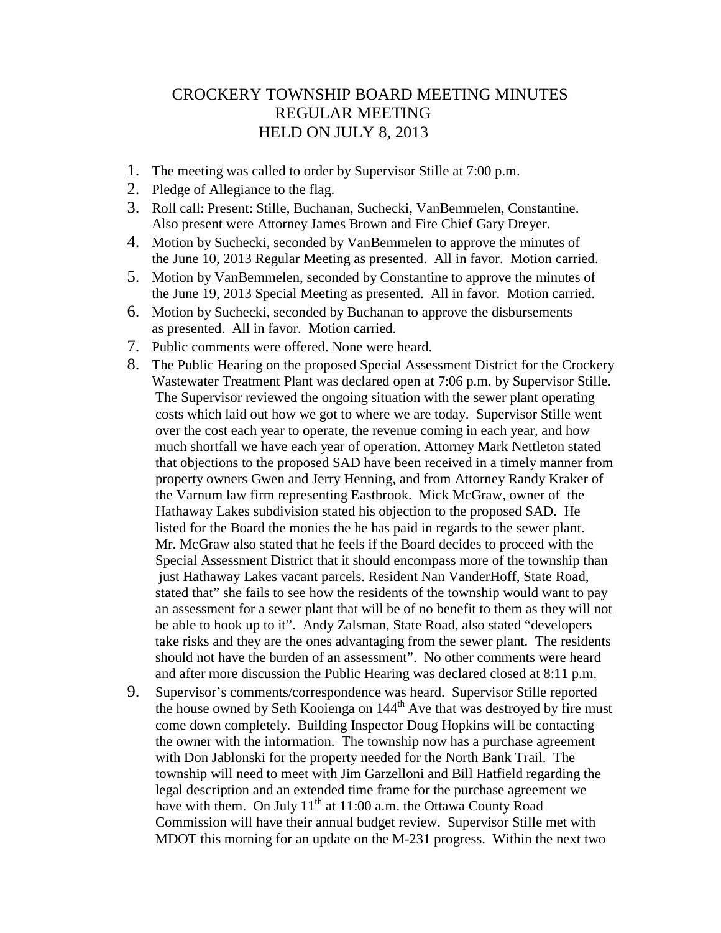## CROCKERY TOWNSHIP BOARD MEETING MINUTES REGULAR MEETING HELD ON JULY 8, 2013

- 1. The meeting was called to order by Supervisor Stille at 7:00 p.m.
- 2. Pledge of Allegiance to the flag.
- 3. Roll call: Present: Stille, Buchanan, Suchecki, VanBemmelen, Constantine. Also present were Attorney James Brown and Fire Chief Gary Dreyer.
- 4. Motion by Suchecki, seconded by VanBemmelen to approve the minutes of the June 10, 2013 Regular Meeting as presented. All in favor. Motion carried.
- 5. Motion by VanBemmelen, seconded by Constantine to approve the minutes of the June 19, 2013 Special Meeting as presented. All in favor. Motion carried.
- 6. Motion by Suchecki, seconded by Buchanan to approve the disbursements as presented. All in favor. Motion carried.
- 7. Public comments were offered. None were heard.
- 8. The Public Hearing on the proposed Special Assessment District for the Crockery Wastewater Treatment Plant was declared open at 7:06 p.m. by Supervisor Stille. The Supervisor reviewed the ongoing situation with the sewer plant operating costs which laid out how we got to where we are today. Supervisor Stille went over the cost each year to operate, the revenue coming in each year, and how much shortfall we have each year of operation. Attorney Mark Nettleton stated that objections to the proposed SAD have been received in a timely manner from property owners Gwen and Jerry Henning, and from Attorney Randy Kraker of the Varnum law firm representing Eastbrook. Mick McGraw, owner of the Hathaway Lakes subdivision stated his objection to the proposed SAD. He listed for the Board the monies the he has paid in regards to the sewer plant. Mr. McGraw also stated that he feels if the Board decides to proceed with the Special Assessment District that it should encompass more of the township than just Hathaway Lakes vacant parcels. Resident Nan VanderHoff, State Road, stated that" she fails to see how the residents of the township would want to pay an assessment for a sewer plant that will be of no benefit to them as they will not be able to hook up to it". Andy Zalsman, State Road, also stated "developers take risks and they are the ones advantaging from the sewer plant. The residents should not have the burden of an assessment". No other comments were heard and after more discussion the Public Hearing was declared closed at 8:11 p.m.
- 9. Supervisor's comments/correspondence was heard. Supervisor Stille reported the house owned by Seth Kooienga on 144<sup>th</sup> Ave that was destroyed by fire must come down completely. Building Inspector Doug Hopkins will be contacting the owner with the information. The township now has a purchase agreement with Don Jablonski for the property needed for the North Bank Trail. The township will need to meet with Jim Garzelloni and Bill Hatfield regarding the legal description and an extended time frame for the purchase agreement we have with them. On July  $11^{th}$  at 11:00 a.m. the Ottawa County Road Commission will have their annual budget review. Supervisor Stille met with MDOT this morning for an update on the M-231 progress. Within the next two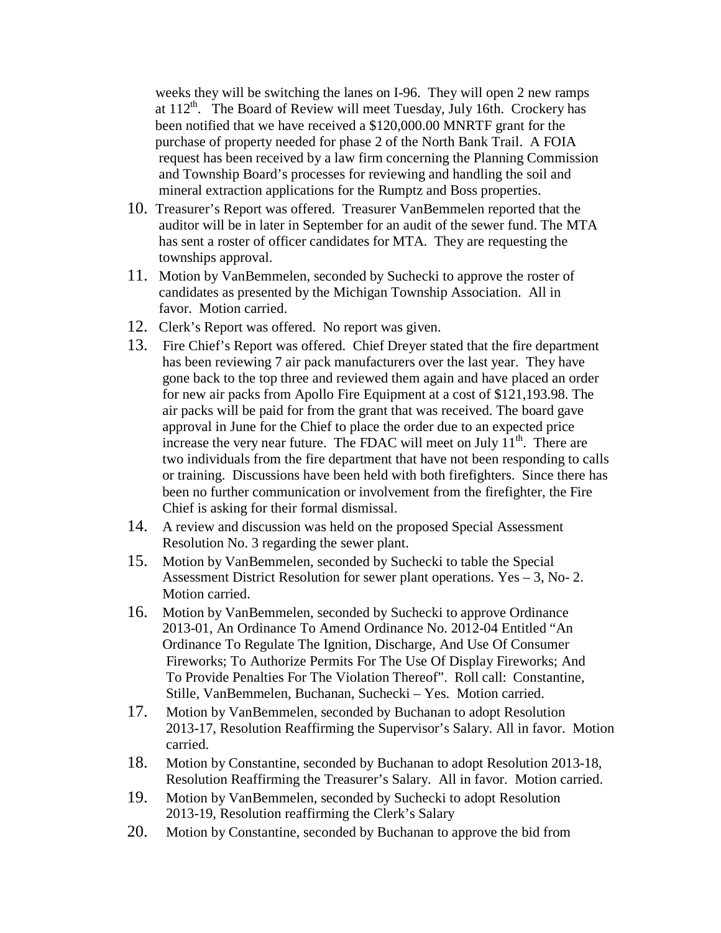weeks they will be switching the lanes on I-96. They will open 2 new ramps at 112<sup>th</sup>. The Board of Review will meet Tuesday, July 16th. Crockery has been notified that we have received a \$120,000.00 MNRTF grant for the purchase of property needed for phase 2 of the North Bank Trail. A FOIA request has been received by a law firm concerning the Planning Commission and Township Board's processes for reviewing and handling the soil and mineral extraction applications for the Rumptz and Boss properties.

- 10. Treasurer's Report was offered. Treasurer VanBemmelen reported that the auditor will be in later in September for an audit of the sewer fund. The MTA has sent a roster of officer candidates for MTA. They are requesting the townships approval.
- 11. Motion by VanBemmelen, seconded by Suchecki to approve the roster of candidates as presented by the Michigan Township Association. All in favor. Motion carried.
- 12. Clerk's Report was offered. No report was given.
- 13. Fire Chief's Report was offered. Chief Dreyer stated that the fire department has been reviewing 7 air pack manufacturers over the last year. They have gone back to the top three and reviewed them again and have placed an order for new air packs from Apollo Fire Equipment at a cost of \$121,193.98. The air packs will be paid for from the grant that was received. The board gave approval in June for the Chief to place the order due to an expected price increase the very near future. The FDAC will meet on July  $11<sup>th</sup>$ . There are two individuals from the fire department that have not been responding to calls or training. Discussions have been held with both firefighters. Since there has been no further communication or involvement from the firefighter, the Fire Chief is asking for their formal dismissal.
- 14. A review and discussion was held on the proposed Special Assessment Resolution No. 3 regarding the sewer plant.
- 15. Motion by VanBemmelen, seconded by Suchecki to table the Special Assessment District Resolution for sewer plant operations. Yes – 3, No- 2. Motion carried.
- 16. Motion by VanBemmelen, seconded by Suchecki to approve Ordinance 2013-01, An Ordinance To Amend Ordinance No. 2012-04 Entitled "An Ordinance To Regulate The Ignition, Discharge, And Use Of Consumer Fireworks; To Authorize Permits For The Use Of Display Fireworks; And To Provide Penalties For The Violation Thereof". Roll call: Constantine, Stille, VanBemmelen, Buchanan, Suchecki – Yes. Motion carried.
- 17. Motion by VanBemmelen, seconded by Buchanan to adopt Resolution 2013-17, Resolution Reaffirming the Supervisor's Salary. All in favor. Motion carried.
- 18. Motion by Constantine, seconded by Buchanan to adopt Resolution 2013-18, Resolution Reaffirming the Treasurer's Salary. All in favor. Motion carried.
- 19. Motion by VanBemmelen, seconded by Suchecki to adopt Resolution 2013-19, Resolution reaffirming the Clerk's Salary
- 20. Motion by Constantine, seconded by Buchanan to approve the bid from